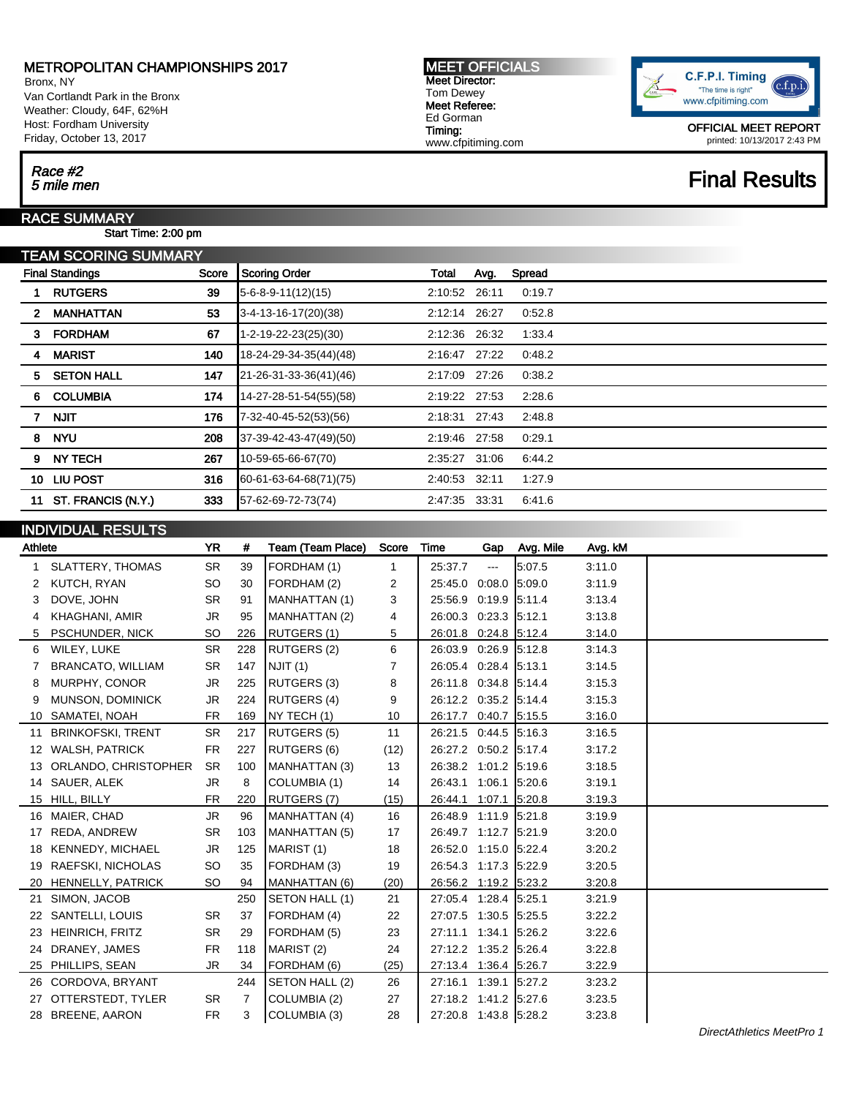### METROPOLITAN CHAMPIONSHIPS 2017

Bronx, NY Van Cortlandt Park in the Bronx Weather: Cloudy, 64F, 62%H Host: Fordham University Friday, October 13, 2017

MEET OFFICIALS Meet Director: Tom Dewey Meet Referee: Ed Gorman Timing: www.cfpitiming.com



OFFICIAL MEET REPORT printed: 10/13/2017 2:43 PM

## Race #2<br>5 mile men Final Results

# Race #2

RACE SUMMARY

INDIVIDUAL RESULTS

Start Time: 2:00 pm

|                        | TEAM SCORING SUMMARY |       |                                |               |       |        |  |  |
|------------------------|----------------------|-------|--------------------------------|---------------|-------|--------|--|--|
| <b>Final Standings</b> |                      | Score | <b>Scoring Order</b>           | Total         | Avg.  | Spread |  |  |
|                        | <b>RUTGERS</b>       | 39    | $5-6-8-9-11(12)(15)$           | 2:10:52 26:11 |       | 0:19.7 |  |  |
| 2                      | <b>MANHATTAN</b>     | 53    | 3-4-13-16-17(20)(38)           | 2:12:14       | 26:27 | 0.52.8 |  |  |
| 3                      | <b>FORDHAM</b>       | 67    | $1 - 2 - 19 - 22 - 23(25)(30)$ | 2:12:36       | 26:32 | 1:33.4 |  |  |
| 4                      | <b>MARIST</b>        | 140   | 18-24-29-34-35(44)(48)         | 2.16.47       | 27:22 | 0:48.2 |  |  |
| 5.                     | <b>SETON HALL</b>    | 147   | 21-26-31-33-36(41)(46)         | 2:17:09       | 27:26 | 0:38.2 |  |  |
| 6                      | <b>COLUMBIA</b>      | 174   | 14-27-28-51-54(55)(58)         | 2:19:22       | 27:53 | 2:28.6 |  |  |
|                        | <b>NJIT</b>          | 176   | 7-32-40-45-52(53)(56)          | 2:18:31       | 27:43 | 2:48.8 |  |  |
| 8                      | <b>NYU</b>           | 208   | 37-39-42-43-47(49)(50)         | 2:19:46 27:58 |       | 0:29.1 |  |  |
| 9                      | <b>NY TECH</b>       | 267   | 10-59-65-66-67(70)             | 2:35:27       | 31:06 | 6:44.2 |  |  |
| 10                     | LIU POST             | 316   | 60-61-63-64-68(71)(75)         | 2:40:53       | 32:11 | 1:27.9 |  |  |
| 11                     | ST. FRANCIS (N.Y.)   | 333   | 57-62-69-72-73(74)             | 2:47:35       | 33:31 | 6:41.6 |  |  |
|                        |                      |       |                                |               |       |        |  |  |

### Athlete **YR # Team (Team Place)** Score Time Gap Avg. Mile Avg. kM 1 SLATTERY, THOMAS SR 39 FORDHAM (1) 1 25:37.7 --- 5:07.5 3:11.0 2 KUTCH, RYAN SO 30 FORDHAM (2) 2 25:45.0 0:08.0 5:09.0 3:11.9 3 DOVE, JOHN SR 91 MANHATTAN (1) 3 25:56.9 0:19.9 5:11.4 3:13.4 4 KHAGHANI, AMIR JR 95 MANHATTAN (2) 4 26:00.3 0:23.3 5:12.1 3:13.8 5 PSCHUNDER, NICK SO 226 RUTGERS (1) 5 26:01.8 0:24.8 5:12.4 3:14.0 6 WILEY, LUKE SR 228 RUTGERS (2) 6 26:03.9 0:26.9 5:12.8 3:14.3 7 BRANCATO, WILLIAM SR 147 NJIT (1) 7 26:05.4 0:28.4 5:13.1 3:14.5 8 MURPHY, CONOR JR 225 RUTGERS (3) 8 26:11.8 0:34.8 5:14.4 3:15.3 9 MUNSON, DOMINICK JR 224 RUTGERS (4) 9 26:12.2 0:35.2 5:14.4 3:15.3 10 SAMATEI, NOAH FR 169 NY TECH (1) 10 36:17.7 0:40.7 5:15.5 3:16.0 11 BRINKOFSKI, TRENT SR 217 RUTGERS (5) 11 26:21.5 0:44.5 5:16.3 3:16.5 12 WALSH, PATRICK FR 227 RUTGERS (6) (12) 26:27.2 0:50.2 5:17.4 3:17.2 13 ORLANDO, CHRISTOPHER SR 100 MANHATTAN (3) 13 26:38.2 1:01.2 5:19.6 3:18.5 14 SAUER, ALEK JR 8 COLUMBIA (1) 14 26:43.1 1:06.1 5:20.6 3:19.1 15 HILL, BILLY FR 220 RUTGERS (7) (15) 26:44.1 1:07.1 5:20.8 3:19.3 16 MAIER, CHAD JR 96 MANHATTAN (4) 16 26:48.9 1:11.9 5:21.8 3:19.9 17 REDA, ANDREW SR 103 MANHATTAN (5) 17 | 26:49.7 1:12.7 | 5:21.9 3:20.0 18 KENNEDY, MICHAEL JR 125 MARIST (1) 18 26:52.0 1:15.0 5:22.4 3:20.2 19 RAEFSKI, NICHOLAS SO 35 FORDHAM (3) 19 26:54.3 1:17.3 5:22.9 3:20.5 20 HENNELLY, PATRICK SO 94 MANHATTAN (6) (20) 26:56.2 1:19.2 5:23.2 3:20.8 21 SIMON, JACOB 250 SETON HALL (1) 21 27:05.4 1:28.4 5:25.1 3:21.9 22 SANTELLI, LOUIS SR 37 FORDHAM (4) 22 27:07.5 1:30.5 5:25.5 3:22.2 23 HEINRICH, FRITZ SR 29 FORDHAM (5) 23 27:11.1 1:34.1 5:26.2 3:22.6 24 DRANEY, JAMES FR 118 MARIST (2) 24 27:12.2 1:35.2 5:26.4 3:22.8 25 PHILLIPS, SEAN JR 34 FORDHAM (6) (25) 27:13.4 1:36.4 5:26.7 3:22.9 26 CORDOVA, BRYANT 244 SETON HALL (2) 26 27:16.1 1:39.1 5:27.2 3:23.2 27 OTTERSTEDT, TYLER SR 7 COLUMBIA (2) 27 27:18.2 1:41.2 5:27.6 3:23.5 28 BREENE, AARON FR 3 COLUMBIA (3) 28 27:20.8 1:43.8 5:28.2 3:23.8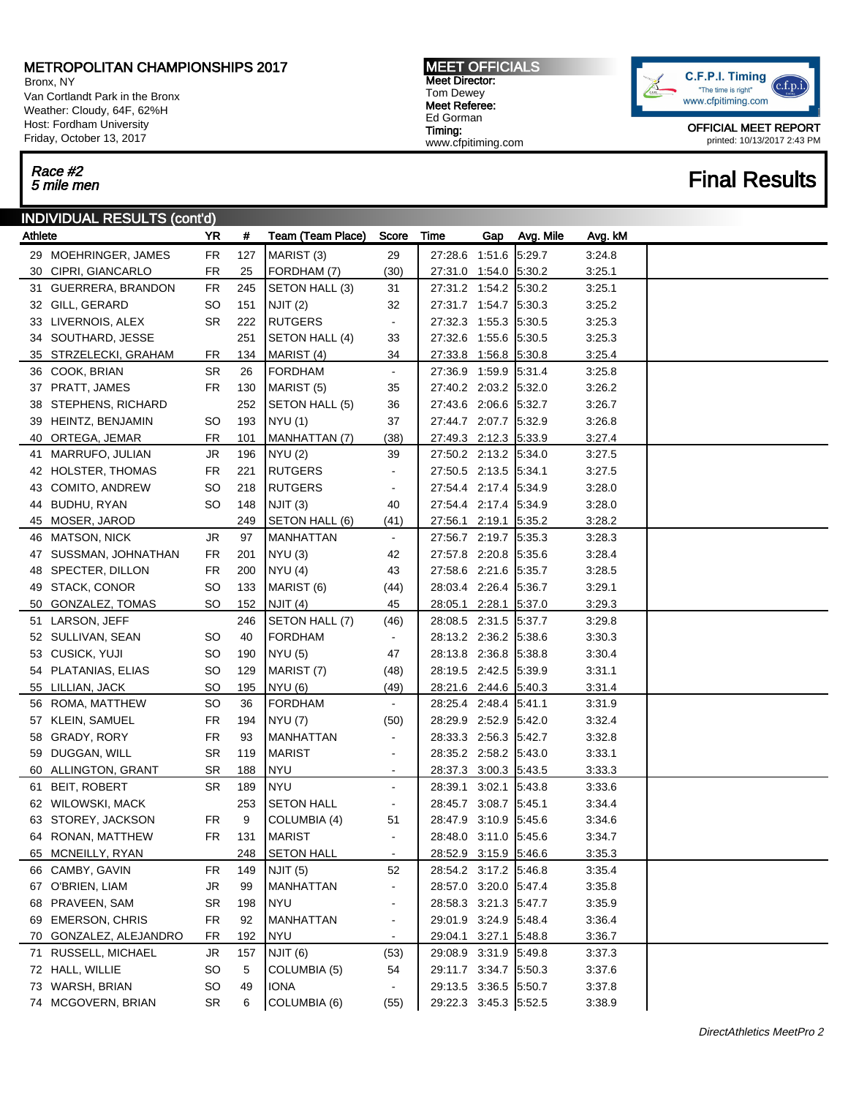### METROPOLITAN CHAMPIONSHIPS 2017

Bronx, NY Van Cortlandt Park in the Bronx Weather: Cloudy, 64F, 62%H Host: Fordham University Friday, October 13, 2017

# Race #2<br>5 mile men

### INDIVIDUAL RESULTS (cont'd)

| Athlete |                        | YR.       | #   | <b>Team (Team Place)</b> | Score                        | Time                  | Gap | Avg. Mile | Avg. kM |  |
|---------|------------------------|-----------|-----|--------------------------|------------------------------|-----------------------|-----|-----------|---------|--|
|         | 29 MOEHRINGER, JAMES   | <b>FR</b> | 127 | MARIST <sub>(3)</sub>    | 29                           | 27:28.6 1:51.6        |     | 5:29.7    | 3:24.8  |  |
|         | 30 CIPRI, GIANCARLO    | FR        | 25  | FORDHAM (7)              | (30)                         | 27:31.0 1:54.0 5:30.2 |     |           | 3:25.1  |  |
|         | 31 GUERRERA, BRANDON   | <b>FR</b> | 245 | SETON HALL (3)           | 31                           | 27:31.2 1:54.2 5:30.2 |     |           | 3:25.1  |  |
|         | 32 GILL, GERARD        | SO        | 151 | <b>NJIT (2)</b>          | 32                           | 27:31.7 1:54.7 5:30.3 |     |           | 3:25.2  |  |
|         | 33 LIVERNOIS, ALEX     | <b>SR</b> | 222 | <b>RUTGERS</b>           | $\blacksquare$               | 27:32.3 1:55.3        |     | 5:30.5    | 3:25.3  |  |
|         | 34 SOUTHARD, JESSE     |           | 251 | SETON HALL (4)           | 33                           | 27:32.6 1:55.6        |     | 5:30.5    | 3:25.3  |  |
|         | 35 STRZELECKI, GRAHAM  | FR        | 134 | MARIST (4)               | 34                           | 27:33.8 1:56.8 5:30.8 |     |           | 3:25.4  |  |
|         | 36 COOK, BRIAN         | <b>SR</b> | 26  | <b>FORDHAM</b>           | $\blacksquare$               | 27:36.9 1:59.9        |     | 5:31.4    | 3:25.8  |  |
|         | 37 PRATT, JAMES        | FR.       | 130 | MARIST (5)               | 35                           | 27:40.2 2:03.2 5:32.0 |     |           | 3:26.2  |  |
|         | 38 STEPHENS, RICHARD   |           | 252 | SETON HALL (5)           | 36                           | 27:43.6 2:06.6 5:32.7 |     |           | 3:26.7  |  |
|         | 39 HEINTZ, BENJAMIN    | SO        | 193 | <b>NYU</b> (1)           | 37                           | 27:44.7 2:07.7 5:32.9 |     |           | 3:26.8  |  |
|         | 40 ORTEGA, JEMAR       | FR        | 101 | MANHATTAN (7)            | (38)                         | 27:49.3 2:12.3 5:33.9 |     |           | 3:27.4  |  |
|         | 41 MARRUFO, JULIAN     | <b>JR</b> | 196 | NYU(2)                   | 39                           | 27:50.2 2:13.2 5:34.0 |     |           | 3:27.5  |  |
|         | 42 HOLSTER, THOMAS     | <b>FR</b> | 221 | <b>RUTGERS</b>           | $\blacksquare$               | 27:50.5 2:13.5 5:34.1 |     |           | 3:27.5  |  |
|         | 43 COMITO, ANDREW      | <b>SO</b> | 218 | <b>RUTGERS</b>           | $\blacksquare$               | 27:54.4 2:17.4 5:34.9 |     |           | 3:28.0  |  |
|         | 44 BUDHU, RYAN         | SO        | 148 | NJIT(3)                  | 40                           | 27:54.4 2:17.4 5:34.9 |     |           | 3:28.0  |  |
|         | 45 MOSER, JAROD        |           | 249 | SETON HALL (6)           | (41)                         | 27:56.1 2:19.1        |     | 5:35.2    | 3:28.2  |  |
|         | 46 MATSON, NICK        | <b>JR</b> | 97  | <b>MANHATTAN</b>         | $\blacksquare$               | 27:56.7 2:19.7 5:35.3 |     |           | 3:28.3  |  |
|         | 47 SUSSMAN, JOHNATHAN  | <b>FR</b> | 201 | NYU(3)                   | 42                           | 27:57.8 2:20.8 5:35.6 |     |           | 3:28.4  |  |
|         | 48 SPECTER, DILLON     | <b>FR</b> | 200 | <b>NYU (4)</b>           | 43                           | 27:58.6 2:21.6 5:35.7 |     |           | 3:28.5  |  |
|         | 49 STACK, CONOR        | <b>SO</b> | 133 | MARIST (6)               | (44)                         | 28:03.4 2:26.4 5:36.7 |     |           | 3:29.1  |  |
|         | 50 GONZALEZ, TOMAS     | SO        | 152 | NJIT (4)                 | 45                           | 28:05.1 2:28.1        |     | 5:37.0    | 3:29.3  |  |
|         | 51 LARSON, JEFF        |           | 246 | SETON HALL (7)           | (46)                         | 28:08.5 2:31.5 5:37.7 |     |           | 3:29.8  |  |
|         | 52 SULLIVAN, SEAN      | SO        | 40  | <b>FORDHAM</b>           | $\blacksquare$               | 28:13.2 2:36.2 5:38.6 |     |           | 3:30.3  |  |
|         | 53 CUSICK, YUJI        | SO        | 190 | <b>NYU (5)</b>           | 47                           | 28:13.8 2:36.8 5:38.8 |     |           | 3:30.4  |  |
|         | 54 PLATANIAS, ELIAS    | SO        | 129 | MARIST (7)               | (48)                         | 28:19.5 2:42.5 5:39.9 |     |           | 3:31.1  |  |
|         | 55 LILLIAN, JACK       | SO        | 195 | <b>NYU (6)</b>           | (49)                         | 28:21.6 2:44.6 5:40.3 |     |           | 3:31.4  |  |
|         | 56 ROMA, MATTHEW       | <b>SO</b> | 36  | <b>FORDHAM</b>           | $\blacksquare$               | 28:25.4 2:48.4 5:41.1 |     |           | 3:31.9  |  |
|         | 57 KLEIN, SAMUEL       | FR        | 194 | <b>NYU (7)</b>           | (50)                         | 28:29.9 2:52.9 5:42.0 |     |           | 3:32.4  |  |
|         | 58 GRADY, RORY         | <b>FR</b> | 93  | <b>MANHATTAN</b>         | $\blacksquare$               | 28:33.3 2:56.3        |     | 5:42.7    | 3:32.8  |  |
|         | 59 DUGGAN, WILL        | <b>SR</b> | 119 | MARIST                   | $\overline{\phantom{0}}$     | 28:35.2 2:58.2 5:43.0 |     |           | 3:33.1  |  |
|         | 60 ALLINGTON, GRANT    | SR        | 188 | <b>NYU</b>               | $\sim$                       | 28:37.3 3:00.3 5:43.5 |     |           | 3:33.3  |  |
|         | 61 BEIT, ROBERT        | <b>SR</b> | 189 | <b>NYU</b>               | $\blacksquare$               | 28:39.1 3:02.1 5:43.8 |     |           | 3:33.6  |  |
|         | 62 WILOWSKI, MACK      |           | 253 | <b>SETON HALL</b>        | $\blacksquare$               | 28:45.7 3:08.7 5:45.1 |     |           | 3:34.4  |  |
|         | 63 STOREY, JACKSON     | <b>FR</b> | 9   | COLUMBIA (4)             | 51                           | 28:47.9 3:10.9        |     | 5.45.6    | 3:34.6  |  |
|         | 64 RONAN, MATTHEW      | <b>FR</b> | 131 | MARIST                   | $\blacksquare$               | 28:48.0 3:11.0 5:45.6 |     |           | 3:34.7  |  |
|         | 65 MCNEILLY, RYAN      |           | 248 | <b>SETON HALL</b>        | $\sim$                       | 28:52.9 3:15.9 5:46.6 |     |           | 3:35.3  |  |
|         | 66 CAMBY, GAVIN        | <b>FR</b> | 149 | NJIT <sub>(5)</sub>      | 52                           | 28:54.2 3:17.2 5:46.8 |     |           | 3:35.4  |  |
|         | 67 O'BRIEN, LIAM       | JR.       | 99  | MANHATTAN                | -                            | 28:57.0 3:20.0 5:47.4 |     |           | 3:35.8  |  |
|         | 68 PRAVEEN, SAM        | <b>SR</b> | 198 | <b>NYU</b>               | ٠                            | 28:58.3 3:21.3        |     | 5:47.7    | 3:35.9  |  |
|         | 69 EMERSON, CHRIS      | <b>FR</b> | 92  | MANHATTAN                | $\qquad \qquad \blacksquare$ | 29:01.9 3:24.9        |     | 5:48.4    | 3:36.4  |  |
|         | 70 GONZALEZ, ALEJANDRO | FR        | 192 | <b>NYU</b>               | $\sim$                       | 29:04.1 3:27.1        |     | 5:48.8    | 3:36.7  |  |
|         | 71 RUSSELL, MICHAEL    | JR.       | 157 | NJIT (6)                 | (53)                         | 29:08.9 3:31.9        |     | 5:49.8    | 3:37.3  |  |
|         | 72 HALL, WILLIE        | <b>SO</b> | 5   | COLUMBIA (5)             | 54                           | 29:11.7 3:34.7 5:50.3 |     |           | 3:37.6  |  |
|         | 73 WARSH, BRIAN        | <b>SO</b> | 49  | <b>IONA</b>              | $\blacksquare$               | 29:13.5 3:36.5 5:50.7 |     |           | 3:37.8  |  |
|         | 74 MCGOVERN, BRIAN     | <b>SR</b> | 6   | COLUMBIA (6)             | (55)                         | 29:22.3 3:45.3 5:52.5 |     |           | 3:38.9  |  |

MEET OFFICIALS Meet Director: Tom Dewey Meet Referee: Ed Gorman Timing:

www.cfpitiming.com

C.F.P.I. Timing  $(c.f.p.i$ "The time is right" www.cfpitiming.com

> OFFICIAL MEET REPORT printed: 10/13/2017 2:43 PM

## **Final Results**